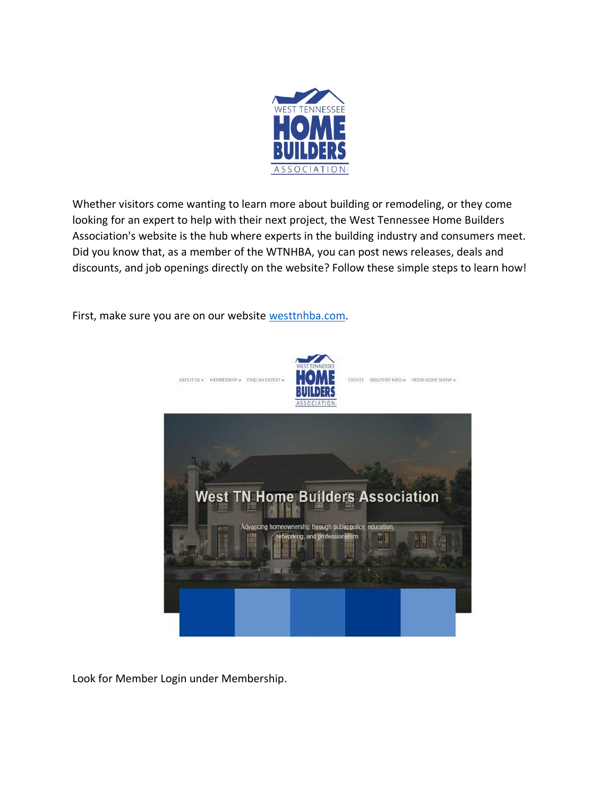

Whether visitors come wanting to learn more about building or remodeling, or they come looking for an expert to help with their next project, the West Tennessee Home Builders Association's website is the hub where experts in the building industry and consumers meet. Did you know that, as a member of the WTNHBA, you can post news releases, deals and discounts, and job openings directly on the website? Follow these simple steps to learn how!

First, make sure you are on our website [westtnhba.com.](http://westtnhba.com/)



Look for Member Login under Membership.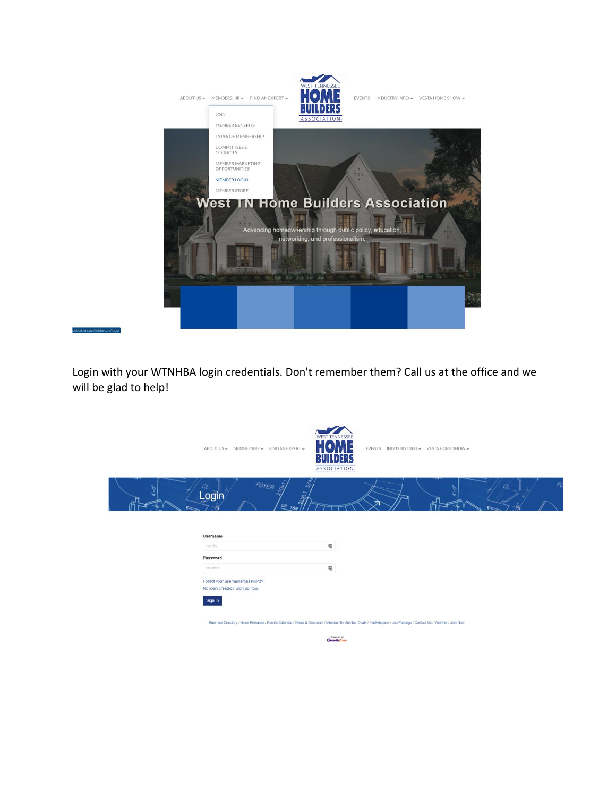

Login with your WTNHBA login credentials. Don't remember them? Call us at the office and we will be glad to help!

|                                                                                                                                                                                | ABOUT US ~ MEMBERSHIP ~ FIND AN EXPERT ~                         | <b>WEST TENNESSEE</b><br>EVENTS INDUSTRY INFO v VESTA HOME SHOW v<br>ASSOCIATION- |
|--------------------------------------------------------------------------------------------------------------------------------------------------------------------------------|------------------------------------------------------------------|-----------------------------------------------------------------------------------|
|                                                                                                                                                                                | FOYER O<br>Login                                                 |                                                                                   |
|                                                                                                                                                                                |                                                                  |                                                                                   |
|                                                                                                                                                                                | Username                                                         |                                                                                   |
|                                                                                                                                                                                | smith                                                            | $\overline{u_0}$                                                                  |
|                                                                                                                                                                                | Password                                                         |                                                                                   |
|                                                                                                                                                                                | <b><i>BAVADARDS</i></b>                                          | $\overline{u}_0$                                                                  |
|                                                                                                                                                                                | Forgot your username/password?<br>No login created? Sign up now. |                                                                                   |
|                                                                                                                                                                                | Sign In                                                          |                                                                                   |
| Business Directory / News Releases / Events Calendar / Deals & Discounts / Member To Member Deals / Marketspace / Job Postings / Contact Us / Weather / Join Now<br>Powered by |                                                                  |                                                                                   |
| <b>Growth</b> Zone                                                                                                                                                             |                                                                  |                                                                                   |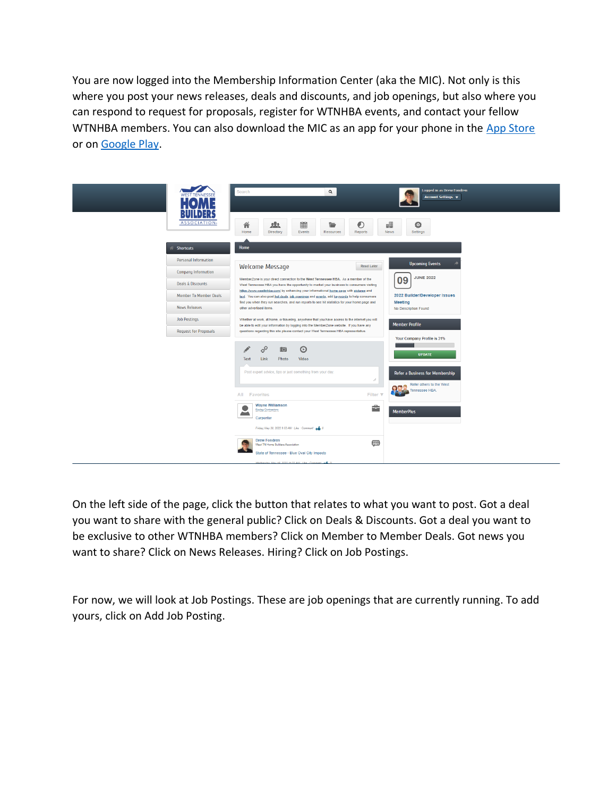You are now logged into the Membership Information Center (aka the MIC). Not only is this where you post your news releases, deals and discounts, and job openings, but also where you can respond to request for proposals, register for WTNHBA events, and contact your fellow WTNHBA members. You can also download the MIC as an app for your phone in the [App Store](https://apps.apple.com/us/app/memberplus/id839204301) or on [Google Play.](https://play.google.com/store/apps/details?id=com.micronet.android.memberplus&hl=en_US&gl=US)



On the left side of the page, click the button that relates to what you want to post. Got a deal you want to share with the general public? Click on Deals & Discounts. Got a deal you want to be exclusive to other WTNHBA members? Click on Member to Member Deals. Got news you want to share? Click on News Releases. Hiring? Click on Job Postings.

For now, we will look at Job Postings. These are job openings that are currently running. To add yours, click on Add Job Posting.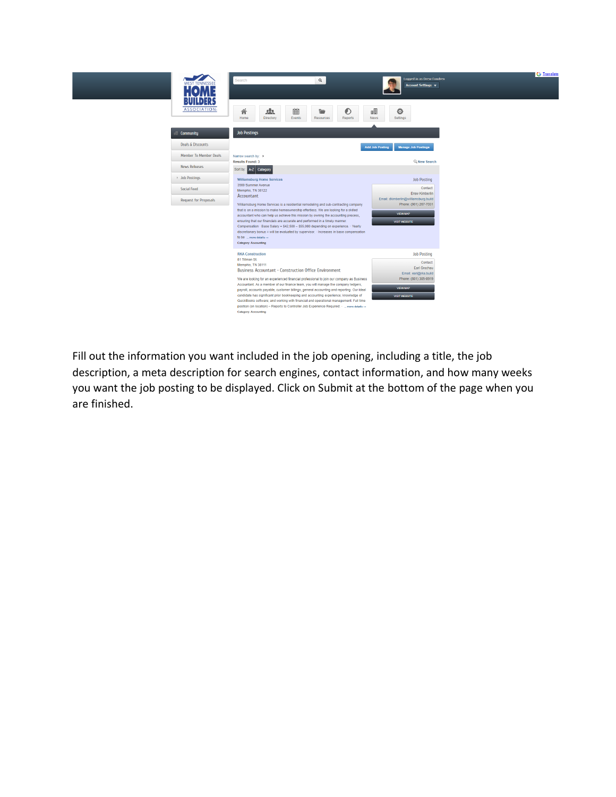

Fill out the information you want included in the job opening, including a title, the job description, a meta description for search engines, contact information, and how many weeks you want the job posting to be displayed. Click on Submit at the bottom of the page when you are finished.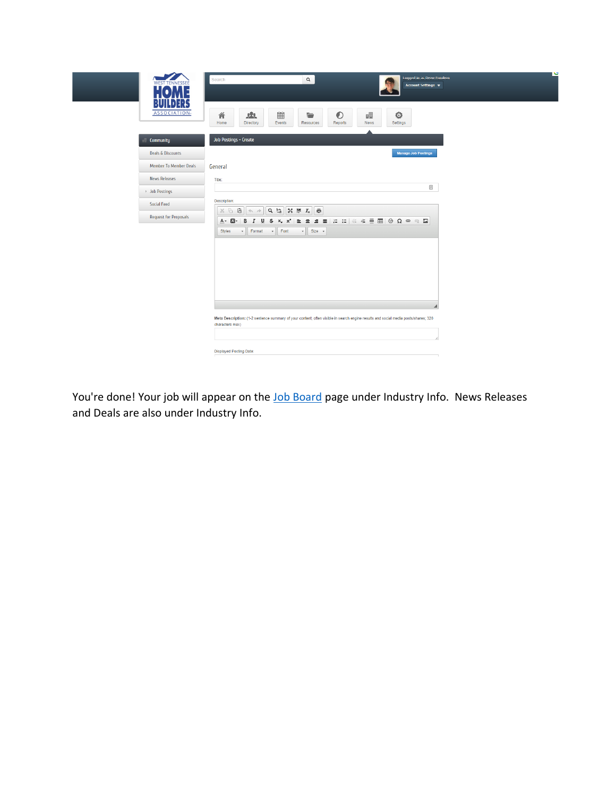

You're done! Your job will appear on the [Job Board](https://builders.westtnhba.com/jobs) page under Industry Info. News Releases and Deals are also under Industry Info.